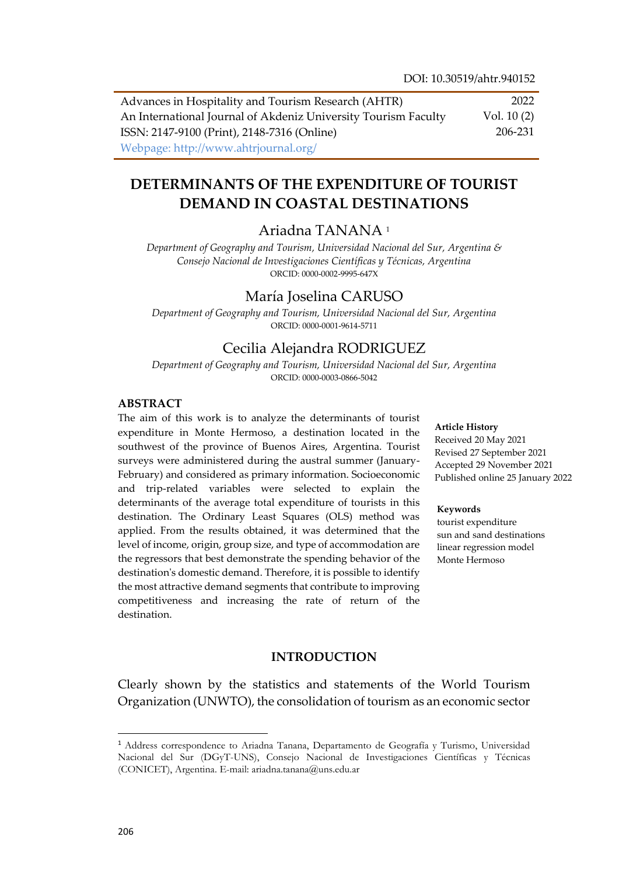Advances in Hospitality and Tourism Research (AHTR) An International Journal of Akdeniz University Tourism Faculty ISSN: 2147-9100 (Print), 2148-7316 (Online) Webpage: http://www.ahtrjournal.org/ 2022 Vol. 10 (2) 206-231

# **DETERMINANTS OF THE EXPENDITURE OF TOURIST DEMAND IN COASTAL DESTINATIONS**

# Ariadna TANANA <sup>1</sup>

*Department of Geography and Tourism, Universidad Nacional del Sur, Argentina & Consejo Nacional de Investigaciones Científicas y Técnicas, Argentina* ORCID: 0000-0002-9995-647X

# María Joselina CARUSO

*Department of Geography and Tourism, Universidad Nacional del Sur, Argentina* ORCID: 0000-0001-9614-5711

# Cecilia Alejandra RODRIGUEZ

*Department of Geography and Tourism, Universidad Nacional del Sur, Argentina* ORCID: 0000-0003-0866-5042

### **ABSTRACT**

The aim of this work is to analyze the determinants of tourist expenditure in Monte Hermoso, a destination located in the southwest of the province of Buenos Aires, Argentina. Tourist surveys were administered during the austral summer (January-February) and considered as primary information. Socioeconomic and trip-related variables were selected to explain the determinants of the average total expenditure of tourists in this destination. The Ordinary Least Squares (OLS) method was applied. From the results obtained, it was determined that the level of income, origin, group size, and type of accommodation are the regressors that best demonstrate the spending behavior of the destination's domestic demand. Therefore, it is possible to identify the most attractive demand segments that contribute to improving competitiveness and increasing the rate of return of the destination.

#### **Article History**

Received 20 May 2021 Revised 27 September 2021 Accepted 29 November 2021 Published online 25 January 2022

#### **Keywords**

tourist expenditure sun and sand destinations linear regression model Monte Hermoso

# **INTRODUCTION**

Clearly shown by the statistics and statements of the World Tourism Organization (UNWTO), the consolidation of tourism as an economic sector

l

<sup>1</sup> Address correspondence to Ariadna Tanana, Departamento de Geografía y Turismo, Universidad Nacional del Sur (DGyT-UNS), Consejo Nacional de Investigaciones Científicas y Técnicas (CONICET), Argentina. E-mail: ariadna.tanana@uns.edu.ar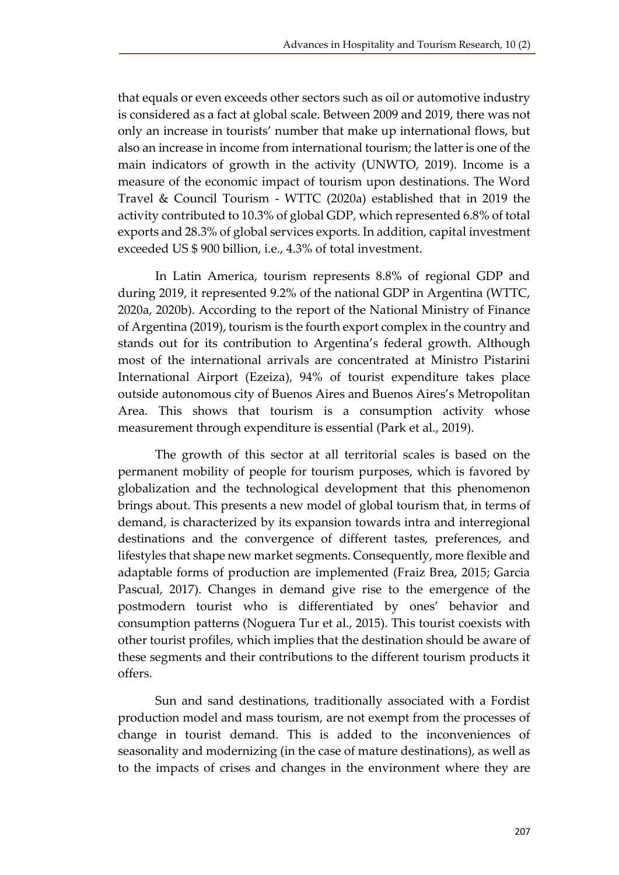that equals or even exceeds other sectors such as oil or automotive industry is considered as a fact at global scale. Between 2009 and 2019, there was not only an increase in tourists' number that make up international flows, but also an increase in income from international tourism; the latter is one of the main indicators of growth in the activity (UNWTO, 2019). Income is a measure of the economic impact of tourism upon destinations. The Word Travel & Council Tourism - WTTC (2020a) established that in 2019 the activity contributed to 10.3% of global GDP, which represented 6.8% of total exports and 28.3% of global services exports. In addition, capital investment exceeded US \$ 900 billion, i.e., 4.3% of total investment.

In Latin America, tourism represents 8.8% of regional GDP and during 2019, it represented 9.2% of the national GDP in Argentina (WTTC, 2020a, 2020b). According to the report of the National Ministry of Finance of Argentina (2019), tourism is the fourth export complex in the country and stands out for its contribution to Argentina's federal growth. Although most of the international arrivals are concentrated at Ministro Pistarini International Airport (Ezeiza), 94% of tourist expenditure takes place outside autonomous city of Buenos Aires and Buenos Aires's Metropolitan Area. This shows that tourism is a consumption activity whose measurement through expenditure is essential (Park et al., 2019).

The growth of this sector at all territorial scales is based on the permanent mobility of people for tourism purposes, which is favored by globalization and the technological development that this phenomenon brings about. This presents a new model of global tourism that, in terms of demand, is characterized by its expansion towards intra and interregional destinations and the convergence of different tastes, preferences, and lifestyles that shape new market segments. Consequently, more flexible and adaptable forms of production are implemented (Fraiz Brea, 2015; Garcia Pascual, 2017). Changes in demand give rise to the emergence of the postmodern tourist who is differentiated by ones' behavior and consumption patterns (Noguera Tur et al., 2015). This tourist coexists with other tourist profiles, which implies that the destination should be aware of these segments and their contributions to the different tourism products it offers.

Sun and sand destinations, traditionally associated with a Fordist production model and mass tourism, are not exempt from the processes of change in tourist demand. This is added to the inconveniences of seasonality and modernizing (in the case of mature destinations), as well as to the impacts of crises and changes in the environment where they are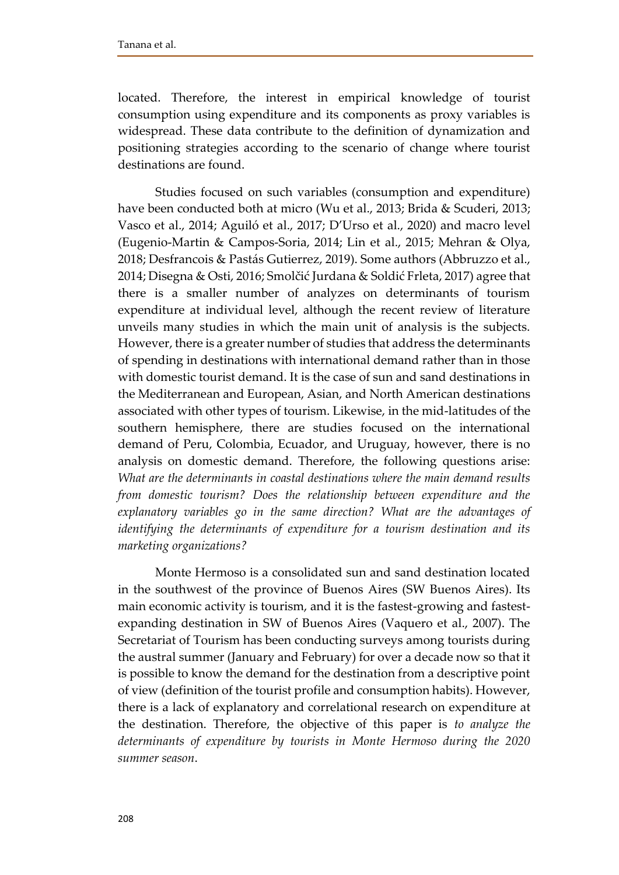located. Therefore, the interest in empirical knowledge of tourist consumption using expenditure and its components as proxy variables is widespread. These data contribute to the definition of dynamization and positioning strategies according to the scenario of change where tourist destinations are found.

Studies focused on such variables (consumption and expenditure) have been conducted both at micro (Wu et al., 2013; Brida & Scuderi, 2013; Vasco et al., 2014; Aguiló et al., 2017; D'Urso et al., 2020) and macro level (Eugenio-Martin & Campos-Soria, 2014; Lin et al., 2015; Mehran & Olya, 2018; Desfrancois & Pastás Gutierrez, 2019). Some authors (Abbruzzo et al., 2014; Disegna & Osti, 2016; Smolčić Jurdana & Soldić Frleta, 2017) agree that there is a smaller number of analyzes on determinants of tourism expenditure at individual level, although the recent review of literature unveils many studies in which the main unit of analysis is the subjects. However, there is a greater number of studies that address the determinants of spending in destinations with international demand rather than in those with domestic tourist demand. It is the case of sun and sand destinations in the Mediterranean and European, Asian, and North American destinations associated with other types of tourism. Likewise, in the mid-latitudes of the southern hemisphere, there are studies focused on the international demand of Peru, Colombia, Ecuador, and Uruguay, however, there is no analysis on domestic demand. Therefore, the following questions arise: *What are the determinants in coastal destinations where the main demand results from domestic tourism? Does the relationship between expenditure and the explanatory variables go in the same direction? What are the advantages of identifying the determinants of expenditure for a tourism destination and its marketing organizations?*

Monte Hermoso is a consolidated sun and sand destination located in the southwest of the province of Buenos Aires (SW Buenos Aires). Its main economic activity is tourism, and it is the fastest-growing and fastestexpanding destination in SW of Buenos Aires (Vaquero et al., 2007). The Secretariat of Tourism has been conducting surveys among tourists during the austral summer (January and February) for over a decade now so that it is possible to know the demand for the destination from a descriptive point of view (definition of the tourist profile and consumption habits). However, there is a lack of explanatory and correlational research on expenditure at the destination. Therefore, the objective of this paper is *to analyze the determinants of expenditure by tourists in Monte Hermoso during the 2020 summer season*.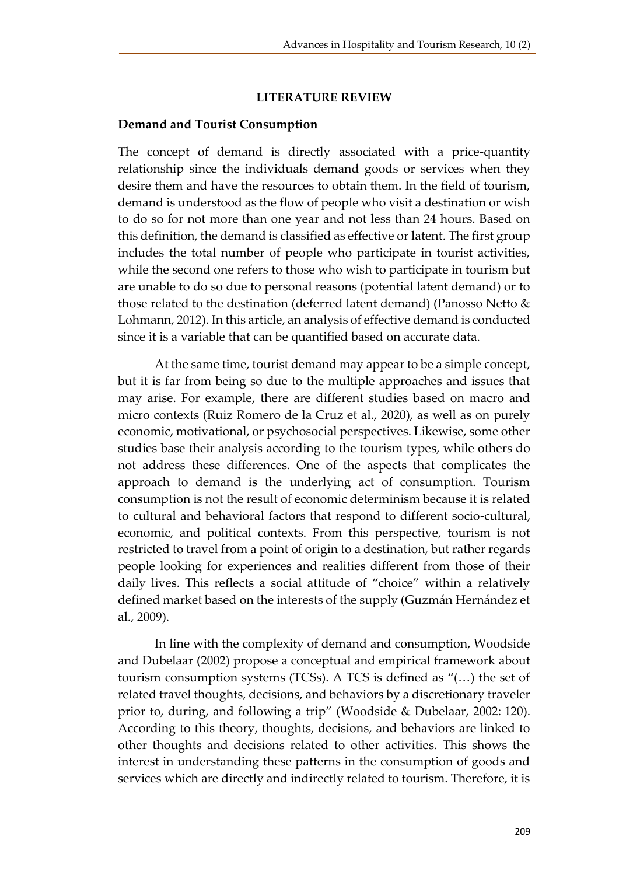# **LITERATURE REVIEW**

#### **Demand and Tourist Consumption**

The concept of demand is directly associated with a price-quantity relationship since the individuals demand goods or services when they desire them and have the resources to obtain them. In the field of tourism, demand is understood as the flow of people who visit a destination or wish to do so for not more than one year and not less than 24 hours. Based on this definition, the demand is classified as effective or latent. The first group includes the total number of people who participate in tourist activities, while the second one refers to those who wish to participate in tourism but are unable to do so due to personal reasons (potential latent demand) or to those related to the destination (deferred latent demand) (Panosso Netto & Lohmann, 2012). In this article, an analysis of effective demand is conducted since it is a variable that can be quantified based on accurate data.

At the same time, tourist demand may appear to be a simple concept, but it is far from being so due to the multiple approaches and issues that may arise. For example, there are different studies based on macro and micro contexts (Ruiz Romero de la Cruz et al., 2020), as well as on purely economic, motivational, or psychosocial perspectives. Likewise, some other studies base their analysis according to the tourism types, while others do not address these differences. One of the aspects that complicates the approach to demand is the underlying act of consumption. Tourism consumption is not the result of economic determinism because it is related to cultural and behavioral factors that respond to different socio-cultural, economic, and political contexts. From this perspective, tourism is not restricted to travel from a point of origin to a destination, but rather regards people looking for experiences and realities different from those of their daily lives. This reflects a social attitude of "choice" within a relatively defined market based on the interests of the supply (Guzmán Hernández et al., 2009).

In line with the complexity of demand and consumption, Woodside and Dubelaar (2002) propose a conceptual and empirical framework about tourism consumption systems (TCSs). A TCS is defined as "(…) the set of related travel thoughts, decisions, and behaviors by a discretionary traveler prior to, during, and following a trip" (Woodside & Dubelaar, 2002: 120). According to this theory, thoughts, decisions, and behaviors are linked to other thoughts and decisions related to other activities. This shows the interest in understanding these patterns in the consumption of goods and services which are directly and indirectly related to tourism. Therefore, it is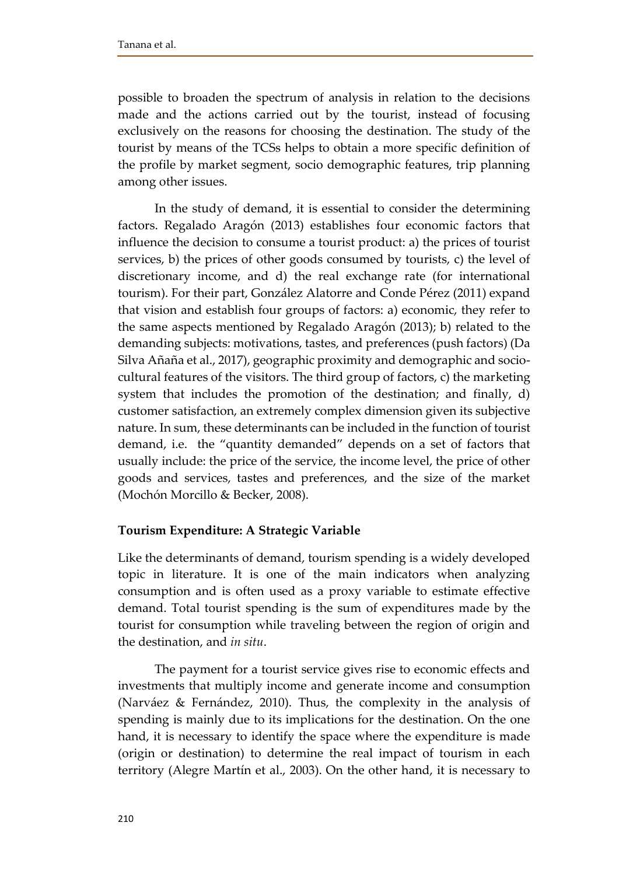possible to broaden the spectrum of analysis in relation to the decisions made and the actions carried out by the tourist, instead of focusing exclusively on the reasons for choosing the destination. The study of the tourist by means of the TCSs helps to obtain a more specific definition of the profile by market segment, socio demographic features, trip planning among other issues.

In the study of demand, it is essential to consider the determining factors. Regalado Aragón (2013) establishes four economic factors that influence the decision to consume a tourist product: a) the prices of tourist services, b) the prices of other goods consumed by tourists, c) the level of discretionary income, and d) the real exchange rate (for international tourism). For their part, González Alatorre and Conde Pérez (2011) expand that vision and establish four groups of factors: a) economic, they refer to the same aspects mentioned by Regalado Aragón (2013); b) related to the demanding subjects: motivations, tastes, and preferences (push factors) (Da Silva Añaña et al., 2017), geographic proximity and demographic and sociocultural features of the visitors. The third group of factors, c) the marketing system that includes the promotion of the destination; and finally, d) customer satisfaction, an extremely complex dimension given its subjective nature. In sum, these determinants can be included in the function of tourist demand, i.e. the "quantity demanded" depends on a set of factors that usually include: the price of the service, the income level, the price of other goods and services, tastes and preferences, and the size of the market (Mochón Morcillo & Becker, 2008).

# **Tourism Expenditure: A Strategic Variable**

Like the determinants of demand, tourism spending is a widely developed topic in literature. It is one of the main indicators when analyzing consumption and is often used as a proxy variable to estimate effective demand. Total tourist spending is the sum of expenditures made by the tourist for consumption while traveling between the region of origin and the destination, and *in situ*.

The payment for a tourist service gives rise to economic effects and investments that multiply income and generate income and consumption (Narváez & Fernández, 2010). Thus, the complexity in the analysis of spending is mainly due to its implications for the destination. On the one hand, it is necessary to identify the space where the expenditure is made (origin or destination) to determine the real impact of tourism in each territory (Alegre Martín et al., 2003). On the other hand, it is necessary to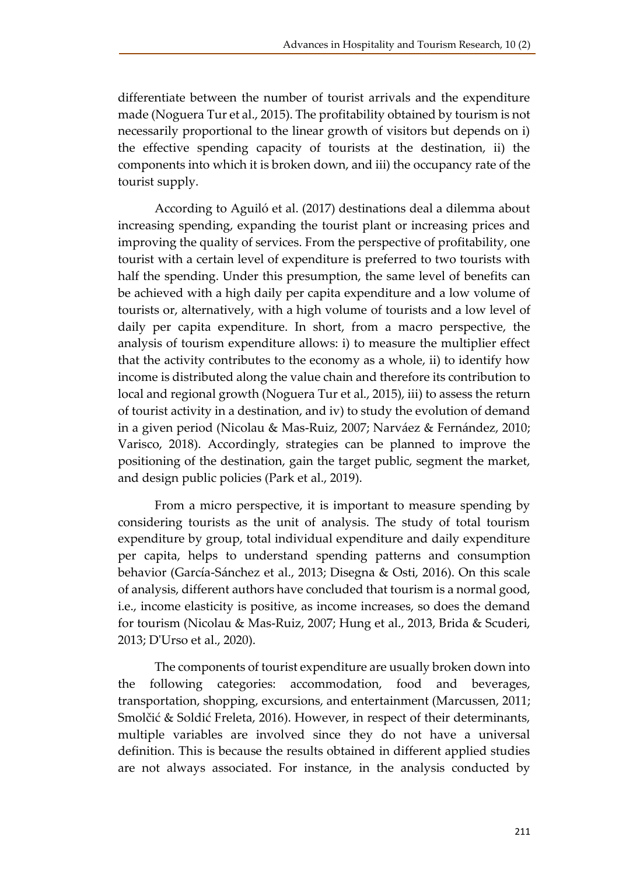differentiate between the number of tourist arrivals and the expenditure made (Noguera Tur et al., 2015). The profitability obtained by tourism is not necessarily proportional to the linear growth of visitors but depends on i) the effective spending capacity of tourists at the destination, ii) the components into which it is broken down, and iii) the occupancy rate of the tourist supply.

According to Aguiló et al. (2017) destinations deal a dilemma about increasing spending, expanding the tourist plant or increasing prices and improving the quality of services. From the perspective of profitability, one tourist with a certain level of expenditure is preferred to two tourists with half the spending. Under this presumption, the same level of benefits can be achieved with a high daily per capita expenditure and a low volume of tourists or, alternatively, with a high volume of tourists and a low level of daily per capita expenditure. In short, from a macro perspective, the analysis of tourism expenditure allows: i) to measure the multiplier effect that the activity contributes to the economy as a whole, ii) to identify how income is distributed along the value chain and therefore its contribution to local and regional growth (Noguera Tur et al., 2015), iii) to assess the return of tourist activity in a destination, and iv) to study the evolution of demand in a given period (Nicolau & Mas-Ruiz, 2007; Narváez & Fernández, 2010; Varisco, 2018). Accordingly, strategies can be planned to improve the positioning of the destination, gain the target public, segment the market, and design public policies (Park et al., 2019).

From a micro perspective, it is important to measure spending by considering tourists as the unit of analysis. The study of total tourism expenditure by group, total individual expenditure and daily expenditure per capita, helps to understand spending patterns and consumption behavior (García-Sánchez et al., 2013; Disegna & Osti, 2016). On this scale of analysis, different authors have concluded that tourism is a normal good, i.e., income elasticity is positive, as income increases, so does the demand for tourism (Nicolau & Mas-Ruiz, 2007; Hung et al., 2013, Brida & Scuderi, 2013; D'Urso et al., 2020).

The components of tourist expenditure are usually broken down into the following categories: accommodation, food and beverages, transportation, shopping, excursions, and entertainment (Marcussen, 2011; Smolčić & Soldić Freleta, 2016). However, in respect of their determinants, multiple variables are involved since they do not have a universal definition. This is because the results obtained in different applied studies are not always associated. For instance, in the analysis conducted by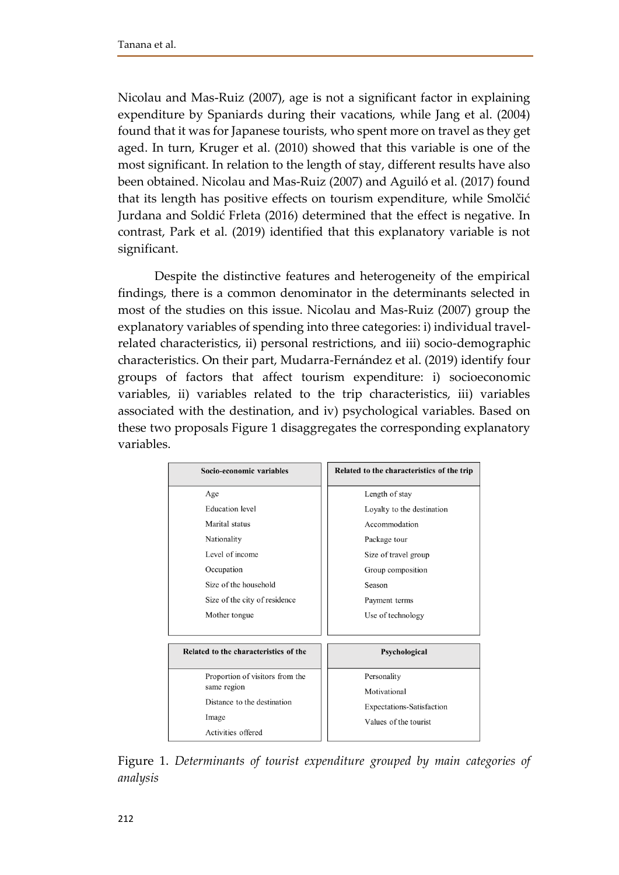Nicolau and Mas-Ruiz (2007), age is not a significant factor in explaining expenditure by Spaniards during their vacations, while Jang et al. (2004) found that it was for Japanese tourists, who spent more on travel as they get aged. In turn, Kruger et al. (2010) showed that this variable is one of the most significant. In relation to the length of stay, different results have also been obtained. Nicolau and Mas-Ruiz (2007) and Aguiló et al. (2017) found that its length has positive effects on tourism expenditure, while Smolčić Jurdana and Soldić Frleta (2016) determined that the effect is negative. In contrast, Park et al. (2019) identified that this explanatory variable is not significant.

Despite the distinctive features and heterogeneity of the empirical findings, there is a common denominator in the determinants selected in most of the studies on this issue. Nicolau and Mas-Ruiz (2007) group the explanatory variables of spending into three categories: i) individual travelrelated characteristics, ii) personal restrictions, and iii) socio-demographic characteristics. On their part, Mudarra-Fernández et al. (2019) identify four groups of factors that affect tourism expenditure: i) socioeconomic variables, ii) variables related to the trip characteristics, iii) variables associated with the destination, and iv) psychological variables. Based on these two proposals Figure 1 disaggregates the corresponding explanatory variables.

| Socio-economic variables                                                  | Related to the characteristics of the trip                                |
|---------------------------------------------------------------------------|---------------------------------------------------------------------------|
| Age                                                                       | Length of stay                                                            |
| <b>Education</b> level                                                    | Loyalty to the destination                                                |
| Marital status                                                            | Accommodation                                                             |
| Nationality                                                               | Package tour                                                              |
| Level of income                                                           | Size of travel group                                                      |
| Occupation                                                                | Group composition                                                         |
| Size of the household                                                     | Season                                                                    |
| Size of the city of residence                                             | Payment terms                                                             |
| Mother tongue                                                             | Use of technology                                                         |
| Related to the characteristics of the                                     | Psychological                                                             |
| Proportion of visitors from the                                           | Personality                                                               |
| same region<br>Distance to the destination<br>Image<br>Activities offered | Motivational<br><b>Expectations-Satisfaction</b><br>Values of the tourist |

Figure 1. *Determinants of tourist expenditure grouped by main categories of analysis*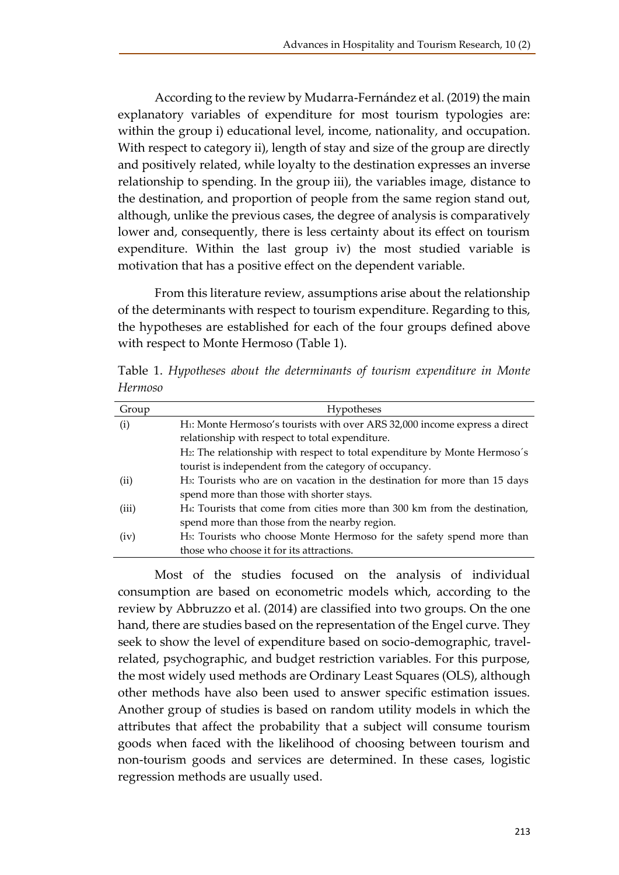According to the review by Mudarra-Fernández et al. (2019) the main explanatory variables of expenditure for most tourism typologies are: within the group i) educational level, income, nationality, and occupation. With respect to category ii), length of stay and size of the group are directly and positively related, while loyalty to the destination expresses an inverse relationship to spending. In the group iii), the variables image, distance to the destination, and proportion of people from the same region stand out, although, unlike the previous cases, the degree of analysis is comparatively lower and, consequently, there is less certainty about its effect on tourism expenditure. Within the last group iv) the most studied variable is motivation that has a positive effect on the dependent variable.

From this literature review, assumptions arise about the relationship of the determinants with respect to tourism expenditure. Regarding to this, the hypotheses are established for each of the four groups defined above with respect to Monte Hermoso (Table 1).

Table 1. *Hypotheses about the determinants of tourism expenditure in Monte Hermoso*

| Group | Hypotheses                                                                             |
|-------|----------------------------------------------------------------------------------------|
| (i)   | H1: Monte Hermoso's tourists with over ARS 32,000 income express a direct              |
|       | relationship with respect to total expenditure.                                        |
|       | H2: The relationship with respect to total expenditure by Monte Hermoso's              |
|       | tourist is independent from the category of occupancy.                                 |
| (ii)  | H <sub>3</sub> : Tourists who are on vacation in the destination for more than 15 days |
|       | spend more than those with shorter stays.                                              |
| (iii) | H <sub>4</sub> : Tourists that come from cities more than 300 km from the destination, |
|       | spend more than those from the nearby region.                                          |
| (iv)  | H <sub>5</sub> : Tourists who choose Monte Hermoso for the safety spend more than      |
|       | those who choose it for its attractions.                                               |

Most of the studies focused on the analysis of individual consumption are based on econometric models which, according to the review by Abbruzzo et al. (2014) are classified into two groups. On the one hand, there are studies based on the representation of the Engel curve. They seek to show the level of expenditure based on socio-demographic, travelrelated, psychographic, and budget restriction variables. For this purpose, the most widely used methods are Ordinary Least Squares (OLS), although other methods have also been used to answer specific estimation issues. Another group of studies is based on random utility models in which the attributes that affect the probability that a subject will consume tourism goods when faced with the likelihood of choosing between tourism and non-tourism goods and services are determined. In these cases, logistic regression methods are usually used.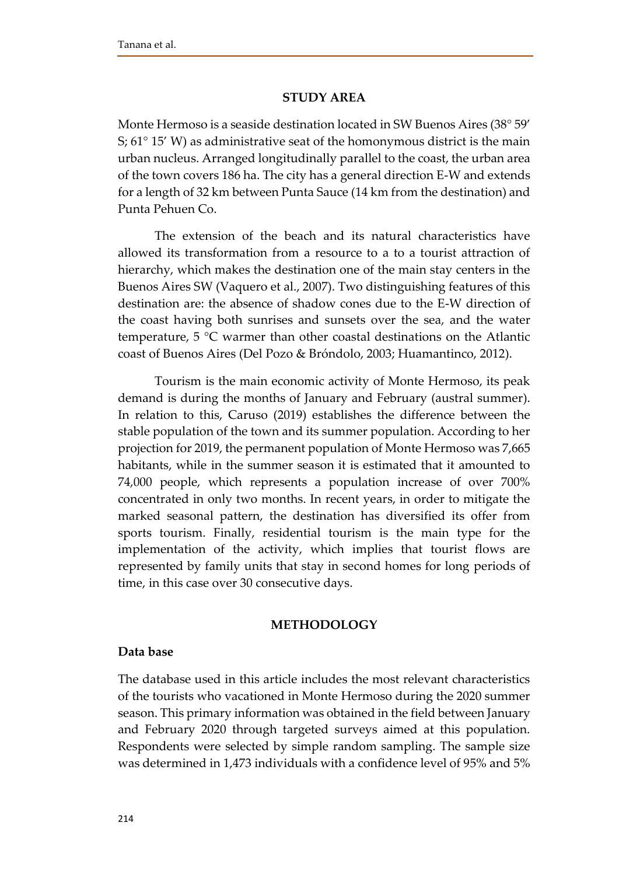### **STUDY AREA**

Monte Hermoso is a seaside destination located in SW Buenos Aires (38° 59' S; 61° 15' W) as administrative seat of the homonymous district is the main urban nucleus. Arranged longitudinally parallel to the coast, the urban area of the town covers 186 ha. The city has a general direction E-W and extends for a length of 32 km between Punta Sauce (14 km from the destination) and Punta Pehuen Co.

The extension of the beach and its natural characteristics have allowed its transformation from a resource to a to a tourist attraction of hierarchy, which makes the destination one of the main stay centers in the Buenos Aires SW (Vaquero et al., 2007). Two distinguishing features of this destination are: the absence of shadow cones due to the E-W direction of the coast having both sunrises and sunsets over the sea, and the water temperature, 5 °C warmer than other coastal destinations on the Atlantic coast of Buenos Aires (Del Pozo & Bróndolo, 2003; Huamantinco, 2012).

Tourism is the main economic activity of Monte Hermoso, its peak demand is during the months of January and February (austral summer). In relation to this, Caruso (2019) establishes the difference between the stable population of the town and its summer population. According to her projection for 2019, the permanent population of Monte Hermoso was 7,665 habitants, while in the summer season it is estimated that it amounted to 74,000 people, which represents a population increase of over 700% concentrated in only two months. In recent years, in order to mitigate the marked seasonal pattern, the destination has diversified its offer from sports tourism. Finally, residential tourism is the main type for the implementation of the activity, which implies that tourist flows are represented by family units that stay in second homes for long periods of time, in this case over 30 consecutive days.

#### **METHODOLOGY**

#### **Data base**

The database used in this article includes the most relevant characteristics of the tourists who vacationed in Monte Hermoso during the 2020 summer season. This primary information was obtained in the field between January and February 2020 through targeted surveys aimed at this population. Respondents were selected by simple random sampling. The sample size was determined in 1,473 individuals with a confidence level of 95% and 5%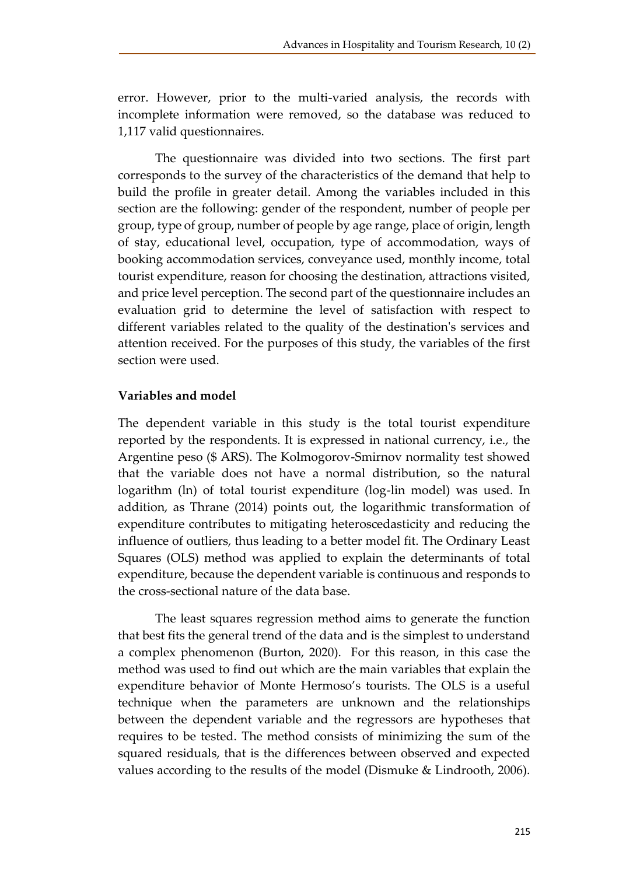error. However, prior to the multi-varied analysis, the records with incomplete information were removed, so the database was reduced to 1,117 valid questionnaires.

The questionnaire was divided into two sections. The first part corresponds to the survey of the characteristics of the demand that help to build the profile in greater detail. Among the variables included in this section are the following: gender of the respondent, number of people per group, type of group, number of people by age range, place of origin, length of stay, educational level, occupation, type of accommodation, ways of booking accommodation services, conveyance used, monthly income, total tourist expenditure, reason for choosing the destination, attractions visited, and price level perception. The second part of the questionnaire includes an evaluation grid to determine the level of satisfaction with respect to different variables related to the quality of the destination's services and attention received. For the purposes of this study, the variables of the first section were used.

# **Variables and model**

The dependent variable in this study is the total tourist expenditure reported by the respondents. It is expressed in national currency, i.e., the Argentine peso (\$ ARS). The Kolmogorov-Smirnov normality test showed that the variable does not have a normal distribution, so the natural logarithm (ln) of total tourist expenditure (log-lin model) was used. In addition, as Thrane (2014) points out, the logarithmic transformation of expenditure contributes to mitigating heteroscedasticity and reducing the influence of outliers, thus leading to a better model fit. The Ordinary Least Squares (OLS) method was applied to explain the determinants of total expenditure, because the dependent variable is continuous and responds to the cross-sectional nature of the data base.

The least squares regression method aims to generate the function that best fits the general trend of the data and is the simplest to understand a complex phenomenon (Burton, 2020). For this reason, in this case the method was used to find out which are the main variables that explain the expenditure behavior of Monte Hermoso's tourists. The OLS is a useful technique when the parameters are unknown and the relationships between the dependent variable and the regressors are hypotheses that requires to be tested. The method consists of minimizing the sum of the squared residuals, that is the differences between observed and expected values according to the results of the model (Dismuke & Lindrooth, 2006).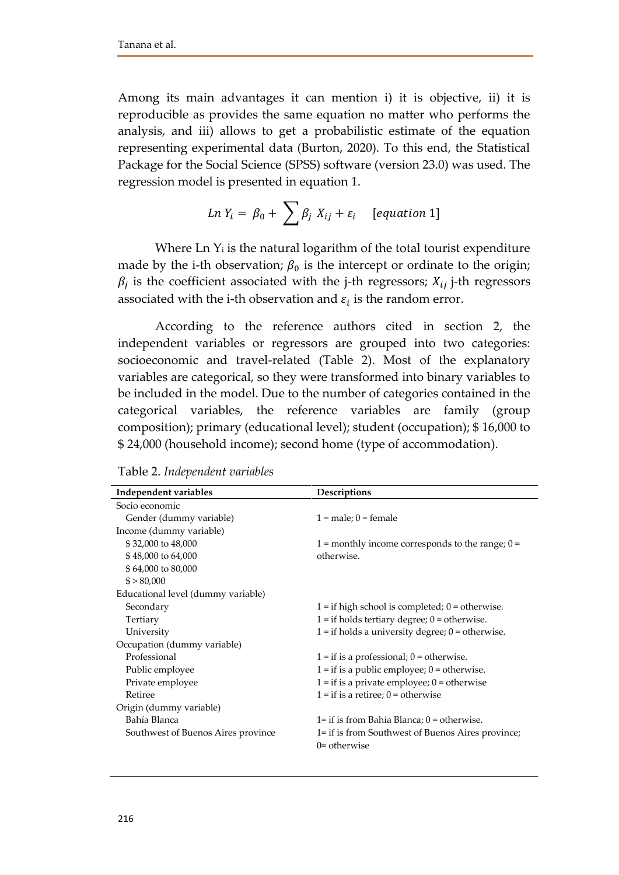Among its main advantages it can mention i) it is objective, ii) it is reproducible as provides the same equation no matter who performs the analysis, and iii) allows to get a probabilistic estimate of the equation representing experimental data (Burton, 2020). To this end, the Statistical Package for the Social Science (SPSS) software (version 23.0) was used. The regression model is presented in equation 1.

$$
Ln Y_i = \beta_0 + \sum \beta_j X_{ij} + \varepsilon_i \quad [equation 1]
$$

Where Ln  $Y_i$  is the natural logarithm of the total tourist expenditure made by the i-th observation;  $\beta_0$  is the intercept or ordinate to the origin;  $\beta_j$  is the coefficient associated with the j-th regressors;  $X_{ij}$  j-th regressors associated with the i-th observation and  $\varepsilon_i$  is the random error.

According to the reference authors cited in section 2, the independent variables or regressors are grouped into two categories: socioeconomic and travel-related (Table 2). Most of the explanatory variables are categorical, so they were transformed into binary variables to be included in the model. Due to the number of categories contained in the categorical variables, the reference variables are family (group composition); primary (educational level); student (occupation); \$ 16,000 to \$ 24,000 (household income); second home (type of accommodation).

| Independent variables              | Descriptions                                         |
|------------------------------------|------------------------------------------------------|
| Socio economic                     |                                                      |
| Gender (dummy variable)            | $1 = male$ ; $0 = female$                            |
| Income (dummy variable)            |                                                      |
| \$32,000 to 48,000                 | 1 = monthly income corresponds to the range; $0 =$   |
| \$48,000 to 64,000                 | otherwise.                                           |
| \$64,000 to 80,000                 |                                                      |
| \$ > 80,000                        |                                                      |
| Educational level (dummy variable) |                                                      |
| Secondary                          | $1 =$ if high school is completed; $0 =$ otherwise.  |
| Tertiary                           | $1 =$ if holds tertiary degree; $0 =$ otherwise.     |
| University                         | $1 =$ if holds a university degree; $0 =$ otherwise. |
| Occupation (dummy variable)        |                                                      |
| Professional                       | $1 =$ if is a professional; $0 =$ otherwise.         |
| Public employee                    | $1 =$ if is a public employee; $0 =$ otherwise.      |
| Private employee                   | $1 =$ if is a private employee; $0 =$ otherwise      |
| Retiree                            | $1 =$ if is a retiree; $0 =$ otherwise               |
| Origin (dummy variable)            |                                                      |
| Bahía Blanca                       | $1 =$ if is from Bahía Blanca; $0 =$ otherwise.      |
| Southwest of Buenos Aires province | 1= if is from Southwest of Buenos Aires province;    |
|                                    | $0 =$ otherwise                                      |
|                                    |                                                      |

Table 2. *Independent variables*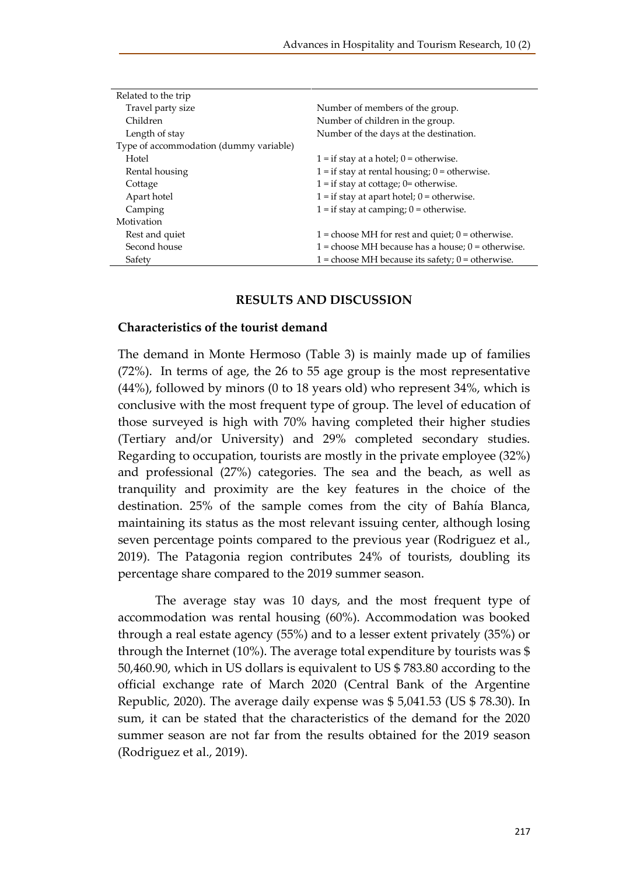| Related to the trip                    |                                                      |  |  |
|----------------------------------------|------------------------------------------------------|--|--|
| Travel party size                      | Number of members of the group.                      |  |  |
| Children                               | Number of children in the group.                     |  |  |
| Length of stay                         | Number of the days at the destination.               |  |  |
| Type of accommodation (dummy variable) |                                                      |  |  |
| Hotel                                  | $1 =$ if stay at a hotel; $0 =$ otherwise.           |  |  |
| Rental housing                         | $1 =$ if stay at rental housing; $0 =$ otherwise.    |  |  |
| Cottage                                | $1 =$ if stay at cottage; $0 =$ otherwise.           |  |  |
| Apart hotel                            | $1 =$ if stay at apart hotel; $0 =$ otherwise.       |  |  |
| Camping                                | $1 =$ if stay at camping; $0 =$ otherwise.           |  |  |
| Motivation                             |                                                      |  |  |
| Rest and quiet                         | $1 =$ choose MH for rest and quiet; $0 =$ otherwise. |  |  |
| Second house                           | 1 = choose MH because has a house; $0 =$ otherwise.  |  |  |
| Safety                                 | 1 = choose MH because its safety; $0 =$ otherwise.   |  |  |

#### **RESULTS AND DISCUSSION**

#### **Characteristics of the tourist demand**

The demand in Monte Hermoso (Table 3) is mainly made up of families (72%). In terms of age, the 26 to 55 age group is the most representative (44%), followed by minors (0 to 18 years old) who represent 34%, which is conclusive with the most frequent type of group. The level of education of those surveyed is high with 70% having completed their higher studies (Tertiary and/or University) and 29% completed secondary studies. Regarding to occupation, tourists are mostly in the private employee (32%) and professional (27%) categories. The sea and the beach, as well as tranquility and proximity are the key features in the choice of the destination. 25% of the sample comes from the city of Bahía Blanca, maintaining its status as the most relevant issuing center, although losing seven percentage points compared to the previous year (Rodriguez et al., 2019). The Patagonia region contributes 24% of tourists, doubling its percentage share compared to the 2019 summer season.

The average stay was 10 days, and the most frequent type of accommodation was rental housing (60%). Accommodation was booked through a real estate agency (55%) and to a lesser extent privately (35%) or through the Internet (10%). The average total expenditure by tourists was \$ 50,460.90, which in US dollars is equivalent to US \$ 783.80 according to the official exchange rate of March 2020 (Central Bank of the Argentine Republic, 2020). The average daily expense was \$ 5,041.53 (US \$ 78.30). In sum, it can be stated that the characteristics of the demand for the 2020 summer season are not far from the results obtained for the 2019 season (Rodriguez et al., 2019).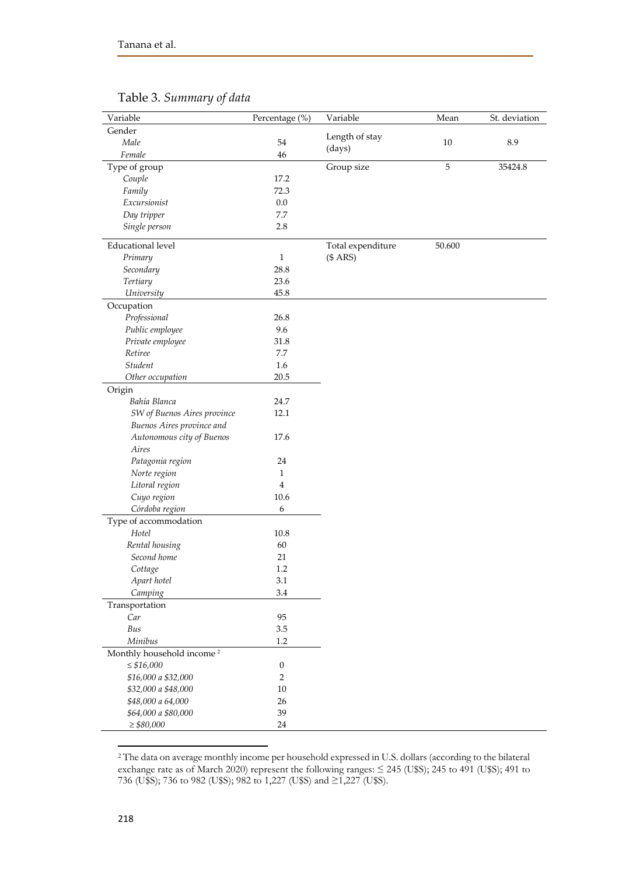| Variable                              | Percentage (%)   | Variable          | Mean        | St. deviation |
|---------------------------------------|------------------|-------------------|-------------|---------------|
| Gender                                |                  | Length of stay    |             |               |
| Male                                  | 54               |                   | 10          | 8.9           |
| Female                                | 46               | (days)            |             |               |
| Type of group                         |                  | Group size        | $\mathbf 5$ | 35424.8       |
| Couple                                | 17.2             |                   |             |               |
| Family                                | 72.3             |                   |             |               |
| Excursionist                          | 0.0              |                   |             |               |
| Day tripper                           | 7.7              |                   |             |               |
| Single person                         | 2.8              |                   |             |               |
| <b>Educational level</b>              |                  | Total expenditure | 50.600      |               |
| Primary                               | $\mathbf{1}$     | (\$ARS)           |             |               |
| Secondary                             | 28.8             |                   |             |               |
| <b>Tertiary</b>                       | 23.6             |                   |             |               |
| University                            | 45.8             |                   |             |               |
| Occupation                            |                  |                   |             |               |
| Professional                          | 26.8             |                   |             |               |
| Public employee                       | 9.6              |                   |             |               |
| Private employee                      | 31.8             |                   |             |               |
| Retiree                               | 7.7              |                   |             |               |
| Student                               | 1.6              |                   |             |               |
| Other occupation                      | $20.5\,$         |                   |             |               |
| Origin                                |                  |                   |             |               |
| Bahía Blanca                          | 24.7             |                   |             |               |
| SW of Buenos Aires province           | 12.1             |                   |             |               |
| Buenos Aires province and             |                  |                   |             |               |
| Autonomous city of Buenos             | 17.6             |                   |             |               |
| Aires                                 |                  |                   |             |               |
| Patagonia region                      | 24               |                   |             |               |
| Norte region                          | $\mathbf{1}$     |                   |             |               |
| Litoral region                        | $\overline{4}$   |                   |             |               |
| Cuyo region                           | 10.6             |                   |             |               |
| Córdoba region                        | 6                |                   |             |               |
| Type of accommodation                 |                  |                   |             |               |
| Hotel                                 | 10.8             |                   |             |               |
| Rental housing                        | 60               |                   |             |               |
| Second home                           | 21               |                   |             |               |
| Cottage                               | 1.2              |                   |             |               |
| Apart hotel                           | $3.1\,$          |                   |             |               |
| Camping                               | 3.4              |                   |             |               |
| Transportation                        |                  |                   |             |               |
| Car                                   | 95               |                   |             |               |
| Bus                                   | $3.5\,$          |                   |             |               |
| Minibus                               | 1.2              |                   |             |               |
| Monthly household income <sup>2</sup> |                  |                   |             |               |
| $\leq$ \$16,000                       | $\boldsymbol{0}$ |                   |             |               |
| \$16,000 a \$32,000                   | $\sqrt{2}$       |                   |             |               |
| \$32,000 a \$48,000                   | $10\,$           |                   |             |               |
| \$48,000 a 64,000                     | 26               |                   |             |               |
| \$64,000 a \$80,000                   | 39               |                   |             |               |
| $\geq$ \$80,000                       | 24               |                   |             |               |

# Table 3. *Summary of data*

<sup>2</sup> The data on average monthly income per household expressed in U.S. dollars (according to the bilateral exchange rate as of March 2020) represent the following ranges:  $\leq$  245 (U\$S); 245 to 491 (U\$S); 491 to 736 (U\$S); 736 to 982 (U\$S); 982 to 1,227 (U\$S) and ≥1,227 (U\$S).

 $\overline{\phantom{a}}$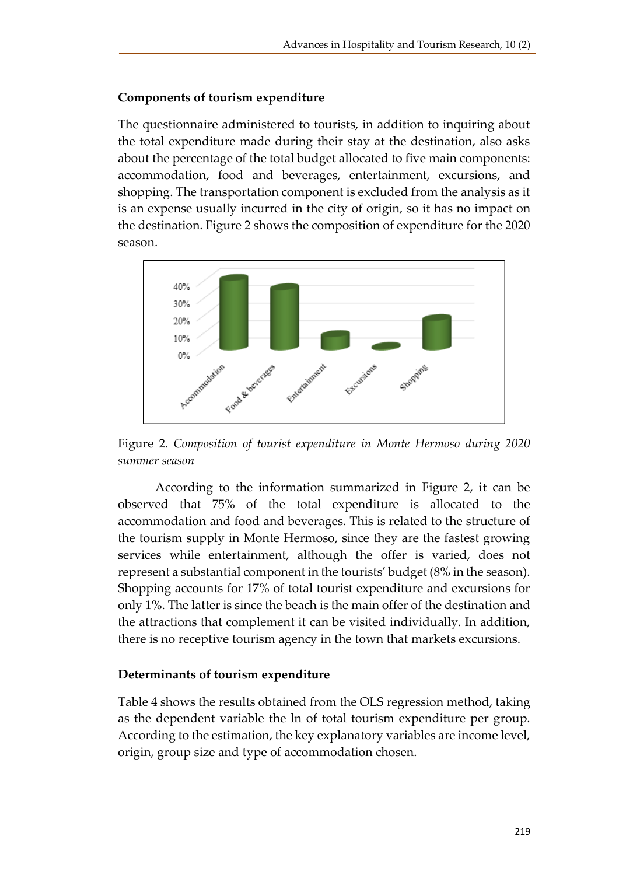# **Components of tourism expenditure**

The questionnaire administered to tourists, in addition to inquiring about the total expenditure made during their stay at the destination, also asks about the percentage of the total budget allocated to five main components: accommodation, food and beverages, entertainment, excursions, and shopping. The transportation component is excluded from the analysis as it is an expense usually incurred in the city of origin, so it has no impact on the destination. Figure 2 shows the composition of expenditure for the 2020 season.



Figure 2. *Composition of tourist expenditure in Monte Hermoso during 2020 summer season*

According to the information summarized in Figure 2, it can be observed that 75% of the total expenditure is allocated to the accommodation and food and beverages. This is related to the structure of the tourism supply in Monte Hermoso, since they are the fastest growing services while entertainment, although the offer is varied, does not represent a substantial component in the tourists' budget (8% in the season). Shopping accounts for 17% of total tourist expenditure and excursions for only 1%. The latter is since the beach is the main offer of the destination and the attractions that complement it can be visited individually. In addition, there is no receptive tourism agency in the town that markets excursions.

# **Determinants of tourism expenditure**

Table 4 shows the results obtained from the OLS regression method, taking as the dependent variable the ln of total tourism expenditure per group. According to the estimation, the key explanatory variables are income level, origin, group size and type of accommodation chosen.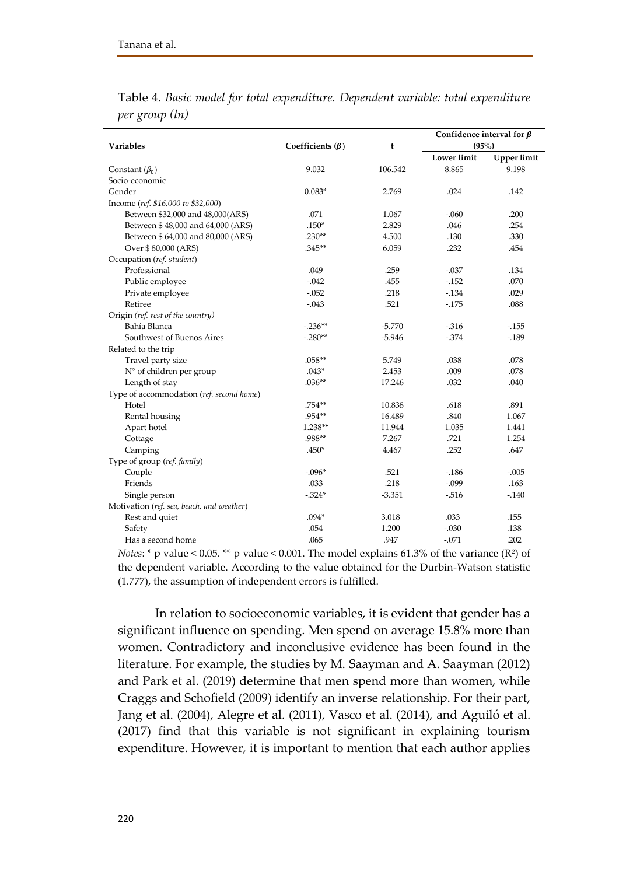|                                           |                        | t        | Confidence interval for $\beta$ |             |
|-------------------------------------------|------------------------|----------|---------------------------------|-------------|
| <b>Variables</b>                          | Coefficients $(\beta)$ |          | $(95\%)$                        |             |
|                                           |                        |          | <b>Lower</b> limit              | Upper limit |
| Constant $(\beta_0)$                      | 9.032                  | 106.542  | 8.865                           | 9.198       |
| Socio-economic                            |                        |          |                                 |             |
| Gender                                    | $0.083*$               | 2.769    | .024                            | .142        |
| Income (ref. \$16,000 to \$32,000)        |                        |          |                                 |             |
| Between \$32,000 and 48,000(ARS)          | .071                   | 1.067    | $-.060$                         | .200        |
| Between \$48,000 and 64,000 (ARS)         | $.150*$                | 2.829    | .046                            | .254        |
| Between \$64,000 and 80,000 (ARS)         | $.230**$               | 4.500    | .130                            | .330        |
| Over \$80,000 (ARS)                       | $.345**$               | 6.059    | .232                            | .454        |
| Occupation (ref. student)                 |                        |          |                                 |             |
| Professional                              | .049                   | .259     | $-.037$                         | .134        |
| Public employee                           | $-.042$                | .455     | $-.152$                         | .070        |
| Private employee                          | $-.052$                | .218     | $-134$                          | .029        |
| Retiree                                   | $-.043$                | .521     | $-175$                          | .088        |
| Origin (ref. rest of the country)         |                        |          |                                 |             |
| Bahía Blanca                              | $-.236**$              | $-5.770$ | $-316$                          | $-155$      |
| Southwest of Buenos Aires                 | $-.280**$              | $-5.946$ | $-0.374$                        | $-189$      |
| Related to the trip                       |                        |          |                                 |             |
| Travel party size                         | .058**                 | 5.749    | .038                            | .078        |
| N° of children per group                  | $.043*$                | 2.453    | .009                            | .078        |
| Length of stay                            | $.036**$               | 17.246   | .032                            | .040        |
| Type of accommodation (ref. second home)  |                        |          |                                 |             |
| Hotel                                     | .754**                 | 10.838   | .618                            | .891        |
| Rental housing                            | .954**                 | 16.489   | .840                            | 1.067       |
| Apart hotel                               | 1.238**                | 11.944   | 1.035                           | 1.441       |
| Cottage                                   | .988**                 | 7.267    | .721                            | 1.254       |
| Camping                                   | $.450*$                | 4.467    | .252                            | .647        |
| Type of group (ref. family)               |                        |          |                                 |             |
| Couple                                    | $-.096*$               | .521     | $-186$                          | $-.005$     |
| Friends                                   | .033                   | .218     | $-.099$                         | .163        |
| Single person                             | $-324*$                | $-3.351$ | $-0.516$                        | $-.140$     |
| Motivation (ref. sea, beach, and weather) |                        |          |                                 |             |
| Rest and quiet                            | $.094*$                | 3.018    | .033                            | .155        |
| Safety                                    | .054                   | 1.200    | $-.030$                         | .138        |
| Has a second home                         | .065                   | .947     | $-.071$                         | .202        |

Table 4. *Basic model for total expenditure. Dependent variable: total expenditure per group (ln)*

*Notes*:  $*$  p value < 0.05.  $**$  p value < 0.001. The model explains 61.3% of the variance (R<sup>2</sup>) of the dependent variable. According to the value obtained for the Durbin-Watson statistic (1.777), the assumption of independent errors is fulfilled.

In relation to socioeconomic variables, it is evident that gender has a significant influence on spending. Men spend on average 15.8% more than women. Contradictory and inconclusive evidence has been found in the literature. For example, the studies by M. Saayman and A. Saayman (2012) and Park et al. (2019) determine that men spend more than women, while Craggs and Schofield (2009) identify an inverse relationship. For their part, Jang et al. (2004), Alegre et al. (2011), Vasco et al. (2014), and Aguiló et al. (2017) find that this variable is not significant in explaining tourism expenditure. However, it is important to mention that each author applies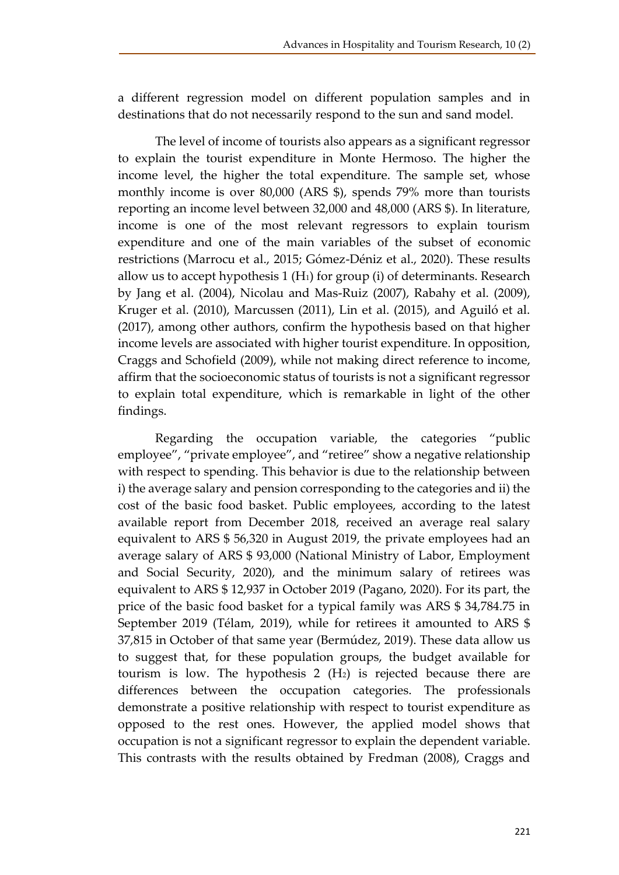a different regression model on different population samples and in destinations that do not necessarily respond to the sun and sand model.

The level of income of tourists also appears as a significant regressor to explain the tourist expenditure in Monte Hermoso. The higher the income level, the higher the total expenditure. The sample set, whose monthly income is over 80,000 (ARS \$), spends 79% more than tourists reporting an income level between 32,000 and 48,000 (ARS \$). In literature, income is one of the most relevant regressors to explain tourism expenditure and one of the main variables of the subset of economic restrictions (Marrocu et al., 2015; Gómez-Déniz et al., 2020). These results allow us to accept hypothesis 1  $(H<sub>1</sub>)$  for group (i) of determinants. Research by Jang et al. (2004), Nicolau and Mas-Ruiz (2007), Rabahy et al. (2009), Kruger et al. (2010), Marcussen (2011), Lin et al. (2015), and Aguiló et al. (2017), among other authors, confirm the hypothesis based on that higher income levels are associated with higher tourist expenditure. In opposition, Craggs and Schofield (2009), while not making direct reference to income, affirm that the socioeconomic status of tourists is not a significant regressor to explain total expenditure, which is remarkable in light of the other findings.

Regarding the occupation variable, the categories "public employee", "private employee", and "retiree" show a negative relationship with respect to spending. This behavior is due to the relationship between i) the average salary and pension corresponding to the categories and ii) the cost of the basic food basket. Public employees, according to the latest available report from December 2018, received an average real salary equivalent to ARS \$ 56,320 in August 2019, the private employees had an average salary of ARS \$ 93,000 (National Ministry of Labor, Employment and Social Security, 2020), and the minimum salary of retirees was equivalent to ARS \$ 12,937 in October 2019 (Pagano, 2020). For its part, the price of the basic food basket for a typical family was ARS \$ 34,784.75 in September 2019 (Télam, 2019), while for retirees it amounted to ARS \$ 37,815 in October of that same year (Bermúdez, 2019). These data allow us to suggest that, for these population groups, the budget available for tourism is low. The hypothesis  $2 \text{ (H}_2)$  is rejected because there are differences between the occupation categories. The professionals demonstrate a positive relationship with respect to tourist expenditure as opposed to the rest ones. However, the applied model shows that occupation is not a significant regressor to explain the dependent variable. This contrasts with the results obtained by Fredman (2008), Craggs and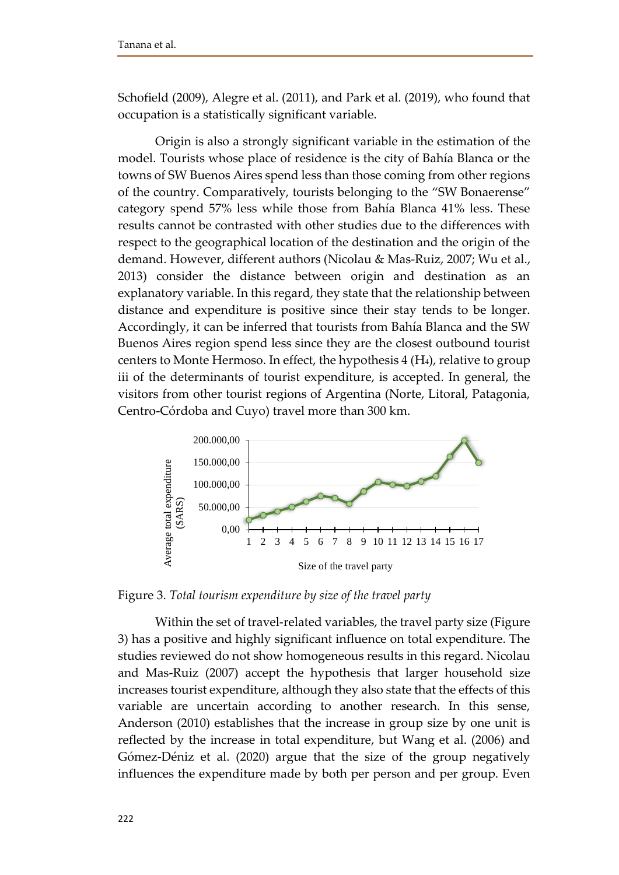Schofield (2009), Alegre et al. (2011), and Park et al. (2019), who found that occupation is a statistically significant variable.

Origin is also a strongly significant variable in the estimation of the model. Tourists whose place of residence is the city of Bahía Blanca or the towns of SW Buenos Aires spend less than those coming from other regions of the country. Comparatively, tourists belonging to the "SW Bonaerense" category spend 57% less while those from Bahía Blanca 41% less. These results cannot be contrasted with other studies due to the differences with respect to the geographical location of the destination and the origin of the demand. However, different authors (Nicolau & Mas-Ruiz, 2007; Wu et al., 2013) consider the distance between origin and destination as an explanatory variable. In this regard, they state that the relationship between distance and expenditure is positive since their stay tends to be longer. Accordingly, it can be inferred that tourists from Bahía Blanca and the SW Buenos Aires region spend less since they are the closest outbound tourist centers to Monte Hermoso. In effect, the hypothesis 4 (H4), relative to group iii of the determinants of tourist expenditure, is accepted. In general, the visitors from other tourist regions of Argentina (Norte, Litoral, Patagonia, Centro-Córdoba and Cuyo) travel more than 300 km.



Figure 3. *Total tourism expenditure by size of the travel party*

Within the set of travel-related variables, the travel party size (Figure 3) has a positive and highly significant influence on total expenditure. The studies reviewed do not show homogeneous results in this regard. Nicolau and Mas-Ruiz (2007) accept the hypothesis that larger household size increases tourist expenditure, although they also state that the effects of this variable are uncertain according to another research. In this sense, Anderson (2010) establishes that the increase in group size by one unit is reflected by the increase in total expenditure, but Wang et al. (2006) and Gómez-Déniz et al. (2020) argue that the size of the group negatively influences the expenditure made by both per person and per group. Even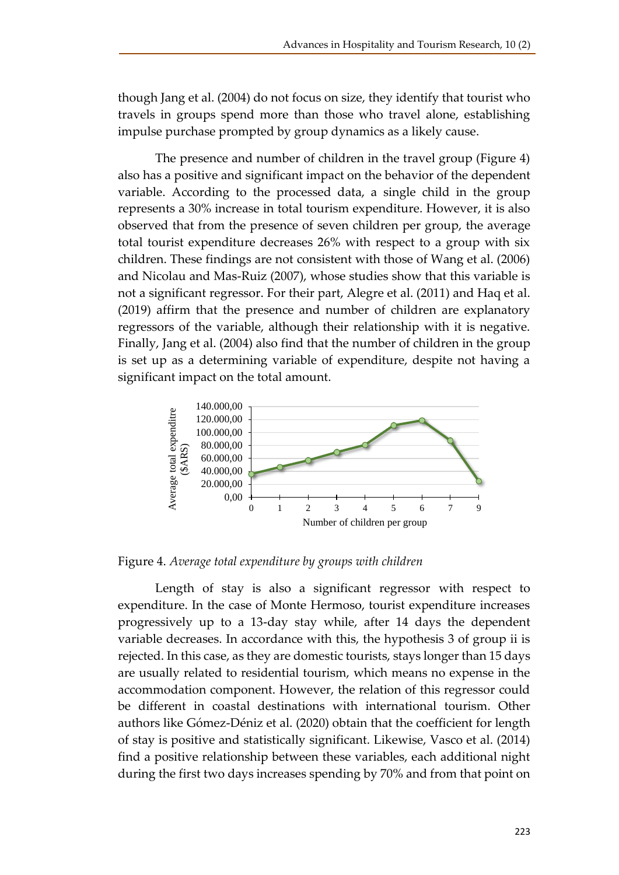though Jang et al. (2004) do not focus on size, they identify that tourist who travels in groups spend more than those who travel alone, establishing impulse purchase prompted by group dynamics as a likely cause.

The presence and number of children in the travel group (Figure 4) also has a positive and significant impact on the behavior of the dependent variable. According to the processed data, a single child in the group represents a 30% increase in total tourism expenditure. However, it is also observed that from the presence of seven children per group, the average total tourist expenditure decreases 26% with respect to a group with six children. These findings are not consistent with those of Wang et al. (2006) and Nicolau and Mas-Ruiz (2007), whose studies show that this variable is not a significant regressor. For their part, Alegre et al. (2011) and Haq et al. (2019) affirm that the presence and number of children are explanatory regressors of the variable, although their relationship with it is negative. Finally, Jang et al. (2004) also find that the number of children in the group is set up as a determining variable of expenditure, despite not having a significant impact on the total amount.



Figure 4. *Average total expenditure by groups with children*

Length of stay is also a significant regressor with respect to expenditure. In the case of Monte Hermoso, tourist expenditure increases progressively up to a 13-day stay while, after 14 days the dependent variable decreases. In accordance with this, the hypothesis 3 of group ii is rejected. In this case, as they are domestic tourists, stays longer than 15 days are usually related to residential tourism, which means no expense in the accommodation component. However, the relation of this regressor could be different in coastal destinations with international tourism. Other authors like Gómez-Déniz et al. (2020) obtain that the coefficient for length of stay is positive and statistically significant. Likewise, Vasco et al. (2014) find a positive relationship between these variables, each additional night during the first two days increases spending by 70% and from that point on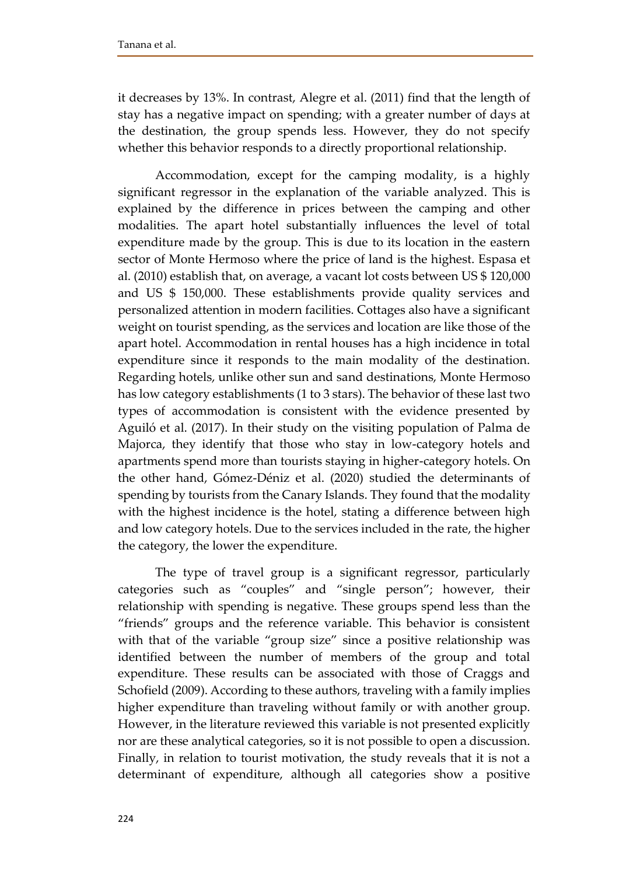it decreases by 13%. In contrast, Alegre et al. (2011) find that the length of stay has a negative impact on spending; with a greater number of days at the destination, the group spends less. However, they do not specify whether this behavior responds to a directly proportional relationship.

Accommodation, except for the camping modality, is a highly significant regressor in the explanation of the variable analyzed. This is explained by the difference in prices between the camping and other modalities. The apart hotel substantially influences the level of total expenditure made by the group. This is due to its location in the eastern sector of Monte Hermoso where the price of land is the highest. Espasa et al. (2010) establish that, on average, a vacant lot costs between US \$ 120,000 and US \$ 150,000. These establishments provide quality services and personalized attention in modern facilities. Cottages also have a significant weight on tourist spending, as the services and location are like those of the apart hotel. Accommodation in rental houses has a high incidence in total expenditure since it responds to the main modality of the destination. Regarding hotels, unlike other sun and sand destinations, Monte Hermoso has low category establishments (1 to 3 stars). The behavior of these last two types of accommodation is consistent with the evidence presented by Aguiló et al. (2017). In their study on the visiting population of Palma de Majorca, they identify that those who stay in low-category hotels and apartments spend more than tourists staying in higher-category hotels. On the other hand, Gómez-Déniz et al. (2020) studied the determinants of spending by tourists from the Canary Islands. They found that the modality with the highest incidence is the hotel, stating a difference between high and low category hotels. Due to the services included in the rate, the higher the category, the lower the expenditure.

The type of travel group is a significant regressor, particularly categories such as "couples" and "single person"; however, their relationship with spending is negative. These groups spend less than the "friends" groups and the reference variable. This behavior is consistent with that of the variable "group size" since a positive relationship was identified between the number of members of the group and total expenditure. These results can be associated with those of Craggs and Schofield (2009). According to these authors, traveling with a family implies higher expenditure than traveling without family or with another group. However, in the literature reviewed this variable is not presented explicitly nor are these analytical categories, so it is not possible to open a discussion. Finally, in relation to tourist motivation, the study reveals that it is not a determinant of expenditure, although all categories show a positive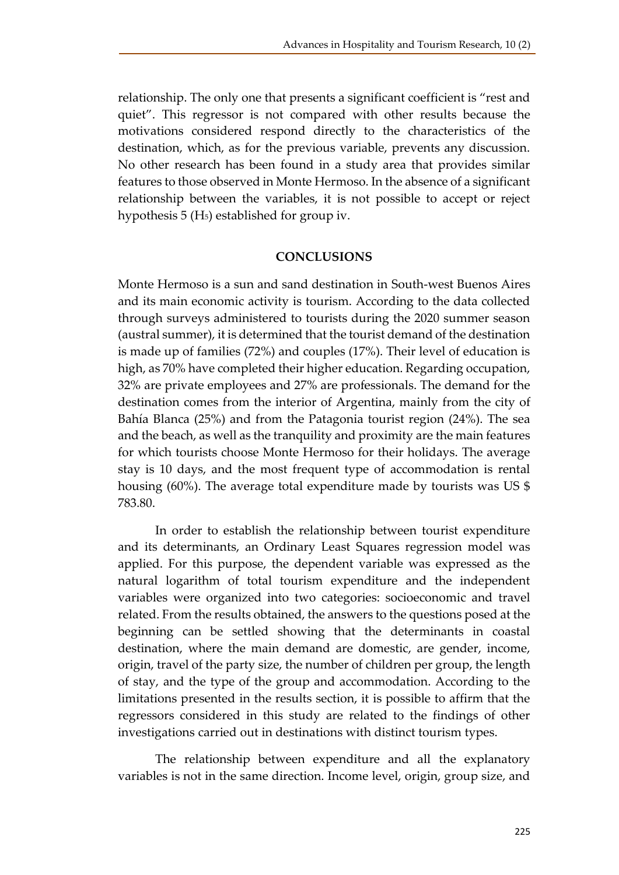relationship. The only one that presents a significant coefficient is "rest and quiet". This regressor is not compared with other results because the motivations considered respond directly to the characteristics of the destination, which, as for the previous variable, prevents any discussion. No other research has been found in a study area that provides similar features to those observed in Monte Hermoso. In the absence of a significant relationship between the variables, it is not possible to accept or reject hypothesis 5 (H5) established for group iv.

#### **CONCLUSIONS**

Monte Hermoso is a sun and sand destination in South-west Buenos Aires and its main economic activity is tourism. According to the data collected through surveys administered to tourists during the 2020 summer season (austral summer), it is determined that the tourist demand of the destination is made up of families (72%) and couples (17%). Their level of education is high, as 70% have completed their higher education. Regarding occupation, 32% are private employees and 27% are professionals. The demand for the destination comes from the interior of Argentina, mainly from the city of Bahía Blanca (25%) and from the Patagonia tourist region (24%). The sea and the beach, as well as the tranquility and proximity are the main features for which tourists choose Monte Hermoso for their holidays. The average stay is 10 days, and the most frequent type of accommodation is rental housing (60%). The average total expenditure made by tourists was US \$ 783.80.

In order to establish the relationship between tourist expenditure and its determinants, an Ordinary Least Squares regression model was applied. For this purpose, the dependent variable was expressed as the natural logarithm of total tourism expenditure and the independent variables were organized into two categories: socioeconomic and travel related. From the results obtained, the answers to the questions posed at the beginning can be settled showing that the determinants in coastal destination, where the main demand are domestic, are gender, income, origin, travel of the party size, the number of children per group, the length of stay, and the type of the group and accommodation. According to the limitations presented in the results section, it is possible to affirm that the regressors considered in this study are related to the findings of other investigations carried out in destinations with distinct tourism types.

The relationship between expenditure and all the explanatory variables is not in the same direction. Income level, origin, group size, and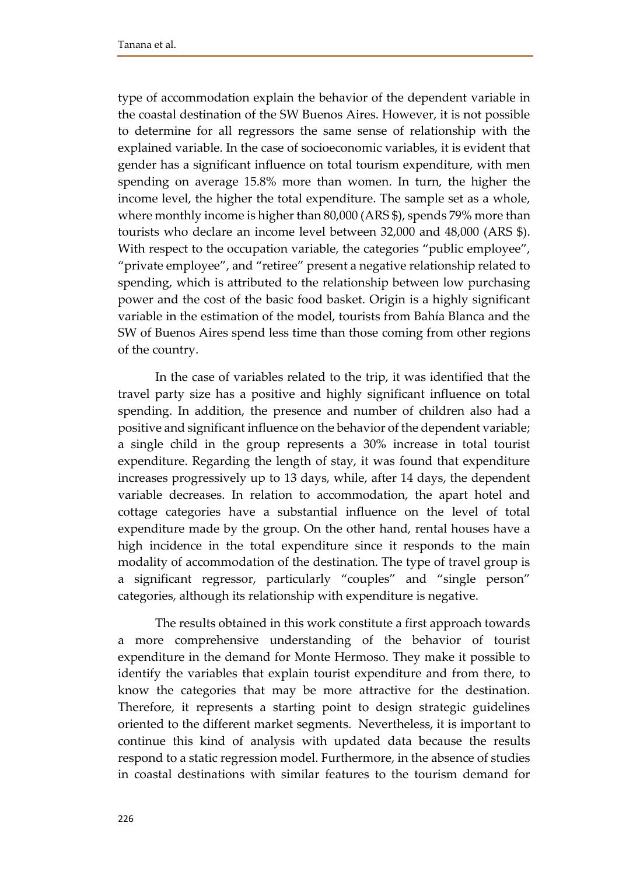type of accommodation explain the behavior of the dependent variable in the coastal destination of the SW Buenos Aires. However, it is not possible to determine for all regressors the same sense of relationship with the explained variable. In the case of socioeconomic variables, it is evident that gender has a significant influence on total tourism expenditure, with men spending on average 15.8% more than women. In turn, the higher the income level, the higher the total expenditure. The sample set as a whole, where monthly income is higher than 80,000 (ARS \$), spends 79% more than tourists who declare an income level between 32,000 and 48,000 (ARS \$). With respect to the occupation variable, the categories "public employee", "private employee", and "retiree" present a negative relationship related to spending, which is attributed to the relationship between low purchasing power and the cost of the basic food basket. Origin is a highly significant variable in the estimation of the model, tourists from Bahía Blanca and the SW of Buenos Aires spend less time than those coming from other regions of the country.

In the case of variables related to the trip, it was identified that the travel party size has a positive and highly significant influence on total spending. In addition, the presence and number of children also had a positive and significant influence on the behavior of the dependent variable; a single child in the group represents a 30% increase in total tourist expenditure. Regarding the length of stay, it was found that expenditure increases progressively up to 13 days, while, after 14 days, the dependent variable decreases. In relation to accommodation, the apart hotel and cottage categories have a substantial influence on the level of total expenditure made by the group. On the other hand, rental houses have a high incidence in the total expenditure since it responds to the main modality of accommodation of the destination. The type of travel group is a significant regressor, particularly "couples" and "single person" categories, although its relationship with expenditure is negative.

The results obtained in this work constitute a first approach towards a more comprehensive understanding of the behavior of tourist expenditure in the demand for Monte Hermoso. They make it possible to identify the variables that explain tourist expenditure and from there, to know the categories that may be more attractive for the destination. Therefore, it represents a starting point to design strategic guidelines oriented to the different market segments. Nevertheless, it is important to continue this kind of analysis with updated data because the results respond to a static regression model. Furthermore, in the absence of studies in coastal destinations with similar features to the tourism demand for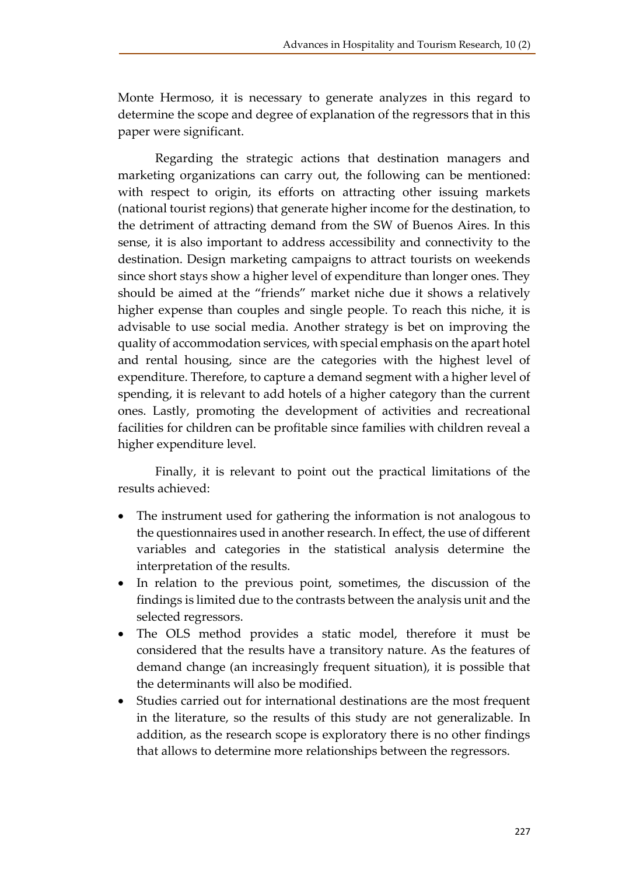Monte Hermoso, it is necessary to generate analyzes in this regard to determine the scope and degree of explanation of the regressors that in this paper were significant.

Regarding the strategic actions that destination managers and marketing organizations can carry out, the following can be mentioned: with respect to origin, its efforts on attracting other issuing markets (national tourist regions) that generate higher income for the destination, to the detriment of attracting demand from the SW of Buenos Aires. In this sense, it is also important to address accessibility and connectivity to the destination. Design marketing campaigns to attract tourists on weekends since short stays show a higher level of expenditure than longer ones. They should be aimed at the "friends" market niche due it shows a relatively higher expense than couples and single people. To reach this niche, it is advisable to use social media. Another strategy is bet on improving the quality of accommodation services, with special emphasis on the apart hotel and rental housing, since are the categories with the highest level of expenditure. Therefore, to capture a demand segment with a higher level of spending, it is relevant to add hotels of a higher category than the current ones. Lastly, promoting the development of activities and recreational facilities for children can be profitable since families with children reveal a higher expenditure level.

Finally, it is relevant to point out the practical limitations of the results achieved:

- The instrument used for gathering the information is not analogous to the questionnaires used in another research. In effect, the use of different variables and categories in the statistical analysis determine the interpretation of the results.
- In relation to the previous point, sometimes, the discussion of the findings is limited due to the contrasts between the analysis unit and the selected regressors.
- The OLS method provides a static model, therefore it must be considered that the results have a transitory nature. As the features of demand change (an increasingly frequent situation), it is possible that the determinants will also be modified.
- Studies carried out for international destinations are the most frequent in the literature, so the results of this study are not generalizable. In addition, as the research scope is exploratory there is no other findings that allows to determine more relationships between the regressors.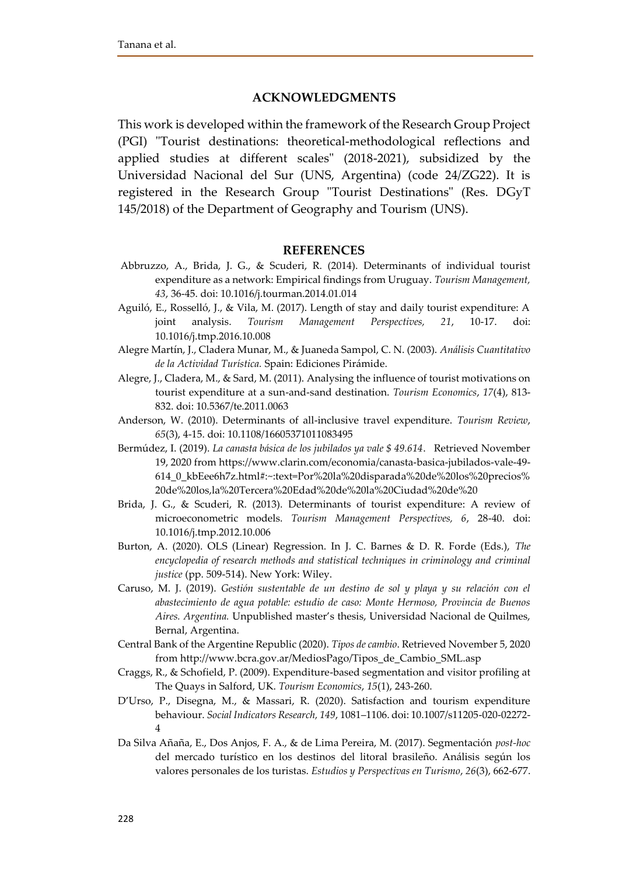#### **ACKNOWLEDGMENTS**

This work is developed within the framework of the Research Group Project (PGI) "Tourist destinations: theoretical-methodological reflections and applied studies at different scales" (2018-2021), subsidized by the Universidad Nacional del Sur (UNS, Argentina) (code 24/ZG22). It is registered in the Research Group "Tourist Destinations" (Res. DGyT 145/2018) of the Department of Geography and Tourism (UNS).

#### **REFERENCES**

- Abbruzzo, A., Brida, J. G., & Scuderi, R. (2014). Determinants of individual tourist expenditure as a network: Empirical findings from Uruguay. *Tourism Management, 43*, 36-45. doi: 10.1016/j.tourman.2014.01.014
- Aguiló, E., Rosselló, J., & Vila, M. (2017). Length of stay and daily tourist expenditure: A joint analysis. *Tourism Management Perspectives, 21*, 10-17. doi: 10.1016/j.tmp.2016.10.008
- Alegre Martín, J., Cladera Munar, M., & Juaneda Sampol, C. N. (2003). *Análisis Cuantitativo de la Actividad Turística.* Spain: Ediciones Pirámide.
- Alegre, J., Cladera, M., & Sard, M. (2011). Analysing the influence of tourist motivations on tourist expenditure at a sun-and-sand destination. *Tourism Economics*, *17*(4), 813- 832. doi: 10.5367/te.2011.0063
- Anderson, W. (2010). Determinants of all‐inclusive travel expenditure. *Tourism Review*, *65*(3), 4-15. doi: 10.1108/16605371011083495
- Bermúdez, I. (2019). *La canasta básica de los jubilados ya vale \$ 49.614*. Retrieved November 19, 2020 from [https://www.clarin.com/economia/canasta-basica-jubilados-vale-49-](https://www.clarin.com/economia/canasta-basica-jubilados-vale-49-614_0_kbEee6h7z.html#:~:text=Por%20la%20disparada%20de%20los%20precios%20de%20los,la%20Tercera%20Edad%20de%20la%20Ciudad%20de%20) [614\\_0\\_kbEee6h7z.html#:~:text=Por%20la%20disparada%20de%20los%20precios%](https://www.clarin.com/economia/canasta-basica-jubilados-vale-49-614_0_kbEee6h7z.html#:~:text=Por%20la%20disparada%20de%20los%20precios%20de%20los,la%20Tercera%20Edad%20de%20la%20Ciudad%20de%20) [20de%20los,la%20Tercera%20Edad%20de%20la%20Ciudad%20de%20](https://www.clarin.com/economia/canasta-basica-jubilados-vale-49-614_0_kbEee6h7z.html#:~:text=Por%20la%20disparada%20de%20los%20precios%20de%20los,la%20Tercera%20Edad%20de%20la%20Ciudad%20de%20)
- Brida, J. G., & Scuderi, R. (2013). Determinants of tourist expenditure: A review of microeconometric models. *Tourism Management Perspectives, 6*, 28-40. doi: 10.1016/j.tmp.2012.10.006
- Burton, A. (2020). OLS (Linear) Regression. In J. C. Barnes & D. R. Forde (Eds.), *The encyclopedia of research methods and statistical techniques in criminology and criminal justice* (pp. 509-514). New York: Wiley.
- Caruso, M. J. (2019). *Gestión sustentable de un destino de sol y playa y su relación con el abastecimiento de agua potable: estudio de caso: Monte Hermoso, Provincia de Buenos Aires. Argentina.* Unpublished master's thesis, Universidad Nacional de Quilmes, Bernal, Argentina.
- Central Bank of the Argentine Republic (2020). *Tipos de cambio*. Retrieved November 5, 2020 fro[m http://www.bcra.gov.ar/MediosPago/Tipos\\_de\\_Cambio\\_SML.asp](http://www.bcra.gov.ar/MediosPago/Tipos_de_Cambio_SML.asp)
- Craggs, R., & Schofield, P. (2009). Expenditure-based segmentation and visitor profiling at The Quays in Salford, UK. *Tourism Economics*, *15*(1), 243-260.
- D'Urso, P., Disegna, M., & Massari, R. (2020). Satisfaction and tourism expenditure behaviour. *Social Indicators Research, 149*, 1081–1106. doi: 10.1007/s11205-020-02272- 4
- Da Silva Añaña, E., Dos Anjos, F. A., & de Lima Pereira, M. (2017). Segmentación *post-hoc* del mercado turístico en los destinos del litoral brasileño. Análisis según los valores personales de los turistas. *Estudios y Perspectivas en Turismo*, *26*(3), 662-677.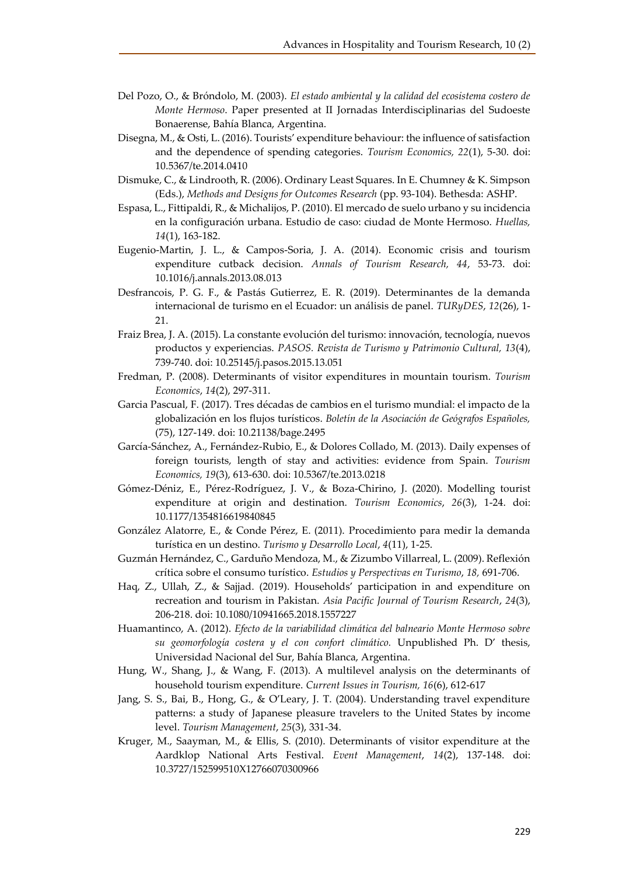- Del Pozo, O., & Bróndolo, M. (2003). *El estado ambiental y la calidad del ecosistema costero de Monte Hermoso*. Paper presented at II Jornadas Interdisciplinarias del Sudoeste Bonaerense, Bahía Blanca, Argentina.
- Disegna, M., & Osti, L. (2016). Tourists' expenditure behaviour: the influence of satisfaction and the dependence of spending categories. *Tourism Economics, 22*(1), 5-30. doi: 10.5367/te.2014.0410
- Dismuke, C., & Lindrooth, R. (2006). Ordinary Least Squares. In E. Chumney & K. Simpson (Eds.), *Methods and Designs for Outcomes Research* (pp. 93-104). Bethesda: ASHP.
- Espasa, L., Fittipaldi, R., & Michalijos, P. (2010). El mercado de suelo urbano y su incidencia en la configuración urbana. Estudio de caso: ciudad de Monte Hermoso. *Huellas, 14*(1), 163-182.
- Eugenio-Martin, J. L., & Campos-Soria, J. A. (2014). Economic crisis and tourism expenditure cutback decision. *Annals of Tourism Research, 44*, 53-73. doi: 10.1016/j.annals.2013.08.013
- Desfrancois, P. G. F., & Pastás Gutierrez, E. R. (2019). Determinantes de la demanda internacional de turismo en el Ecuador: un análisis de panel. *TURyDES*, *12*(26), 1- 21.
- Fraiz Brea, J. A. (2015). La constante evolución del turismo: innovación, tecnología, nuevos productos y experiencias. *PASOS. Revista de Turismo y Patrimonio Cultural, 13*(4), 739-740. doi: 10.25145/j.pasos.2015.13.051
- Fredman, P. (2008). Determinants of visitor expenditures in mountain tourism. *Tourism Economics*, *14*(2), 297-311.
- Garcia Pascual, F. (2017). Tres décadas de cambios en el turismo mundial: el impacto de la globalización en los flujos turísticos. *Boletín de la Asociación de Geógrafos Españoles,* (75), 127-149. doi: 10.21138/bage.2495
- García-Sánchez, A., Fernández-Rubio, E., & Dolores Collado, M. (2013). Daily expenses of foreign tourists, length of stay and activities: evidence from Spain. *Tourism Economics, 19*(3), 613-630. doi: 10.5367/te.2013.0218
- Gómez-Déniz, E., Pérez-Rodríguez, J. V., & Boza-Chirino, J. (2020). Modelling tourist expenditure at origin and destination. *Tourism Economics*, *26*(3), 1-24. doi: 10.1177/1354816619840845
- González Alatorre, E., & Conde Pérez, E. (2011). Procedimiento para medir la demanda turística en un destino. *Turismo y Desarrollo Local*, *4*(11), 1-25.
- Guzmán Hernández, C., Garduño Mendoza, M., & Zizumbo Villarreal, L. (2009). Reflexión crítica sobre el consumo turístico. *Estudios y Perspectivas en Turismo*, *18,* 691-706.
- Haq, Z., Ullah, Z., & Sajjad. (2019). Households' participation in and expenditure on recreation and tourism in Pakistan. *Asia Pacific Journal of Tourism Research*, *24*(3), 206-218. doi: 10.1080/10941665.2018.1557227
- Huamantinco, A. (2012). *Efecto de la variabilidad climática del balneario Monte Hermoso sobre su geomorfología costera y el con confort climático.* Unpublished Ph. D' thesis, Universidad Nacional del Sur, Bahía Blanca, Argentina.
- Hung, W., Shang, J., & Wang, F. (2013). A multilevel analysis on the determinants of household tourism expenditure. *Current Issues in Tourism, 16*(6), 612-617
- Jang, S. S., Bai, B., Hong, G., & O'Leary, J. T. (2004). Understanding travel expenditure patterns: a study of Japanese pleasure travelers to the United States by income level. *Tourism Management*, *25*(3), 331-34.
- Kruger, M., Saayman, M., & Ellis, S. (2010). Determinants of visitor expenditure at the Aardklop National Arts Festival. *Event Management*, *14*(2), 137-148. doi: 10.3727/152599510X12766070300966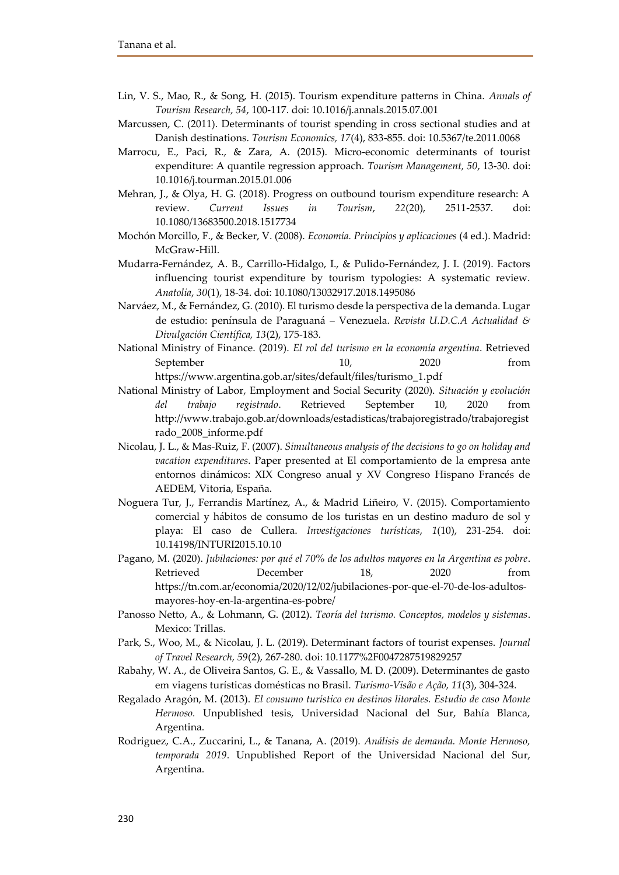- Lin, V. S., Mao, R., & Song, H. (2015). Tourism expenditure patterns in China. *Annals of Tourism Research, 54*, 100-117. doi: 10.1016/j.annals.2015.07.001
- Marcussen, C. (2011). Determinants of tourist spending in cross sectional studies and at Danish destinations. *Tourism Economics, 17*(4), 833-855. doi: 10.5367/te.2011.0068
- Marrocu, E., Paci, R., & Zara, A. (2015). Micro-economic determinants of tourist expenditure: A quantile regression approach. *Tourism Management, 50*, 13-30. doi: 10.1016/j.tourman.2015.01.006
- Mehran, J., & Olya, H. G. (2018). Progress on outbound tourism expenditure research: A review. *Current Issues in Tourism*, *22*(20), 2511-2537. doi: 10.1080/13683500.2018.1517734
- Mochón Morcillo, F., & Becker, V. (2008). *Economía. Principios y aplicaciones* (4 ed.). Madrid: McGraw-Hill.
- Mudarra-Fernández, A. B., Carrillo-Hidalgo, I., & Pulido-Fernández, J. I. (2019). Factors influencing tourist expenditure by tourism typologies: A systematic review. *Anatolia*, *30*(1), 18-34. doi: 10.1080/13032917.2018.1495086
- Narváez, M., & Fernández, G. (2010). El turismo desde la perspectiva de la demanda. Lugar de estudio: península de Paraguaná – Venezuela. *Revista U.D.C.A Actualidad & Divulgación Científica, 13*(2), 175-183.
- National Ministry of Finance. (2019). *El rol del turismo en la economía argentina*. Retrieved September 10, 2020 from [https://www.argentina.gob.ar/sites/default/files/turismo\\_1.pdf](https://www.argentina.gob.ar/sites/default/files/turismo_1.pdf)
- National Ministry of Labor, Employment and Social Security (2020). *Situación y evolución del trabajo registrado*. Retrieved September 10, 2020 from [http://www.trabajo.gob.ar/downloads/estadisticas/trabajoregistrado/trabajoregist](http://www.trabajo.gob.ar/downloads/estadisticas/trabajoregistrado/trabajoregistrado_2008_informe.pdf) [rado\\_2008\\_informe.pdf](http://www.trabajo.gob.ar/downloads/estadisticas/trabajoregistrado/trabajoregistrado_2008_informe.pdf)
- Nicolau, J. L., & Mas-Ruiz, F. (2007). *Simultaneous analysis of the decisions to go on holiday and vacation expenditures*. Paper presented at El comportamiento de la empresa ante entornos dinámicos: XIX Congreso anual y XV Congreso Hispano Francés de AEDEM, Vitoria, España.
- Noguera Tur, J., Ferrandis Martínez, A., & Madrid Liñeiro, V. (2015). Comportamiento comercial y hábitos de consumo de los turistas en un destino maduro de sol y playa: El caso de Cullera. *Investigaciones turísticas*, *1*(10), 231-254. doi: 10.14198/INTURI2015.10.10
- Pagano, M. (2020). *Jubilaciones: por qué el 70% de los adultos mayores en la Argentina es pobre*. Retrieved December 18, 2020 from [https://tn.com.ar/economia/2020/12/02/jubilaciones-por-que-el-70-de-los-adultos](https://tn.com.ar/economia/2020/12/02/jubilaciones-por-que-el-70-de-los-adultos-mayores-hoy-en-la-argentina-es-pobre/)[mayores-hoy-en-la-argentina-es-pobre/](https://tn.com.ar/economia/2020/12/02/jubilaciones-por-que-el-70-de-los-adultos-mayores-hoy-en-la-argentina-es-pobre/)
- Panosso Netto, A., & Lohmann, G. (2012). *Teoría del turismo. Conceptos, modelos y sistemas*. Mexico: Trillas.
- Park, S., Woo, M., & Nicolau, J. L. (2019). Determinant factors of tourist expenses. *Journal of Travel Research, 59*(2), 267-280. doi: 10.1177%2F0047287519829257
- Rabahy, W. A., de Oliveira Santos, G. E., & Vassallo, M. D. (2009). Determinantes de gasto em viagens turísticas domésticas no Brasil. *Turismo-Visão e Ação, 11*(3), 304-324.
- Regalado Aragón, M. (2013). *El consumo turístico en destinos litorales. Estudio de caso Monte Hermoso.* Unpublished tesis, Universidad Nacional del Sur, Bahía Blanca, Argentina.
- Rodriguez, C.A., Zuccarini, L., & Tanana, A. (2019). *Análisis de demanda. Monte Hermoso, temporada 2019*. Unpublished Report of the Universidad Nacional del Sur, Argentina.